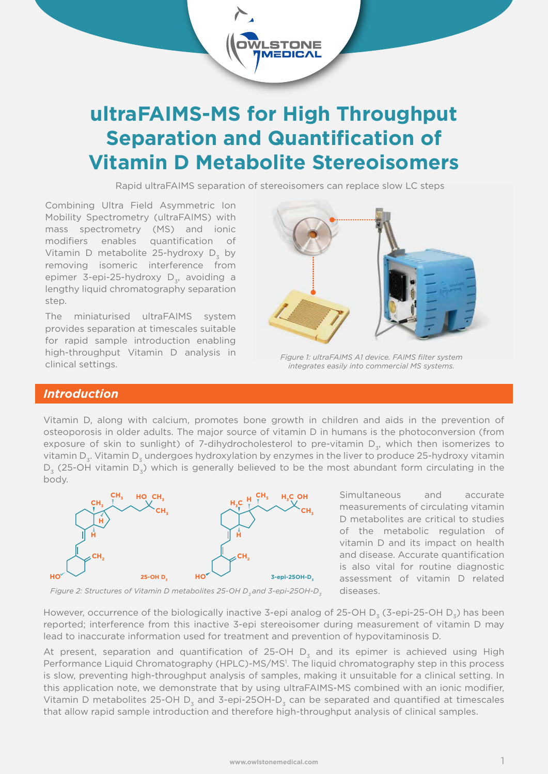

**STONE** 

Rapid ultraFAIMS separation of stereoisomers can replace slow LC steps

Combining Ultra Field Asymmetric Ion Mobility Spectrometry (ultraFAIMS) with mass spectrometry (MS) and ionic modifiers enables quantification of Vitamin D metabolite 25-hydroxy  $D<sub>z</sub>$  by removing isomeric interference from epimer 3-epi-25-hydroxy  $D_{2}$ , avoiding a lengthy liquid chromatography separation step.

The miniaturised ultraFAIMS system provides separation at timescales suitable for rapid sample introduction enabling high-throughput Vitamin D analysis in clinical settings.



*Figure 1: ultraFAIMS A1 device. FAIMS filter system integrates easily into commercial MS systems.*

# *Introduction*

Vitamin D, along with calcium, promotes bone growth in children and aids in the prevention of osteoporosis in older adults. The major source of vitamin D in humans is the photoconversion (from exposure of skin to sunlight) of 7-dihydrocholesterol to pre-vitamin  $D<sub>z</sub>$ , which then isomerizes to vitamin D<sub>z</sub>. Vitamin D<sub>z</sub> undergoes hydroxylation by enzymes in the liver to produce 25-hydroxy vitamin  $D<sub>2</sub>$  (25-OH vitamin  $D<sub>2</sub>$ ) which is generally believed to be the most abundant form circulating in the body.



Simultaneous and accurate measurements of circulating vitamin D metabolites are critical to studies of the metabolic regulation of vitamin D and its impact on health and disease. Accurate quantification is also vital for routine diagnostic assessment of vitamin D related diseases.



However, occurrence of the biologically inactive 3-epi analog of 25-OH D<sub>2</sub> (3-epi-25-OH D<sub>2</sub>) has been reported; interference from this inactive 3-epi stereoisomer during measurement of vitamin D may lead to inaccurate information used for treatment and prevention of hypovitaminosis D.

At present, separation and quantification of 25-OH  $D<sub>z</sub>$  and its epimer is achieved using High Performance Liquid Chromatography (HPLC)-MS/MS<sup>1</sup>. The liquid chromatography step in this process is slow, preventing high-throughput analysis of samples, making it unsuitable for a clinical setting. In this application note, we demonstrate that by using ultraFAIMS-MS combined with an ionic modifier, Vitamin D metabolites 25-OH D<sub>2</sub> and 3-epi-25OH-D<sub>2</sub> can be separated and quantified at timescales that allow rapid sample introduction and therefore high-throughput analysis of clinical samples.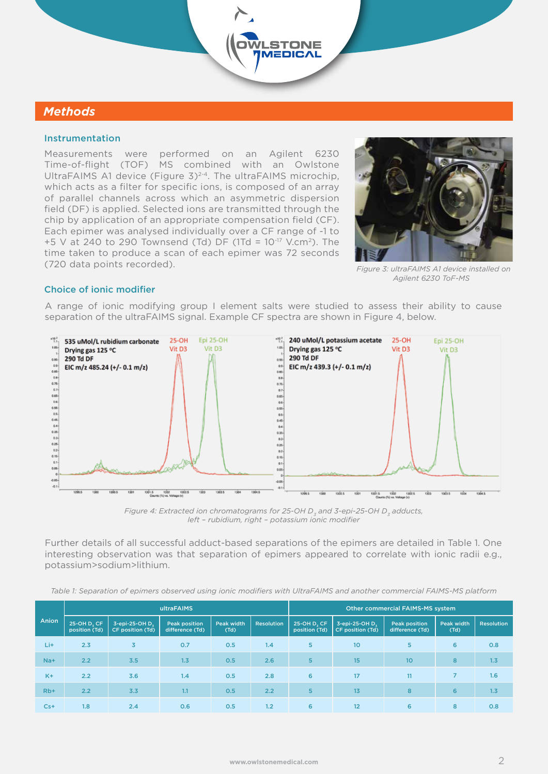# *Methods*

#### Instrumentation

Measurements were performed on an Agilent 6230 Time-of-flight (TOF) MS combined with an Owlstone UltraFAIMS A1 device (Figure 3)<sup>2-4</sup>. The ultraFAIMS microchip, which acts as a filter for specific ions, is composed of an array of parallel channels across which an asymmetric dispersion field (DF) is applied. Selected ions are transmitted through the chip by application of an appropriate compensation field (CF). Each epimer was analysed individually over a CF range of -1 to +5 V at 240 to 290 Townsend (Td) DF (1Td =  $10^{-17}$  V.cm<sup>2</sup>). The time taken to produce a scan of each epimer was 72 seconds (720 data points recorded). *Figure 3: ultraFAIMS A1 device installed on*



*Agilent 6230 ToF-MS* 

## Choice of ionic modifier

A range of ionic modifying group I element salts were studied to assess their ability to cause separation of the ultraFAIMS signal. Example CF spectra are shown in Figure 4, below.

**STONE EDICAL** 



Figure 4: Extracted ion chromatograms for 25-OH D<sub>2</sub> and 3-epi-25-OH D<sub>2</sub> adducts, *left – rubidium, right – potassium ionic modifier*

Further details of all successful adduct-based separations of the epimers are detailed in Table 1. One interesting observation was that separation of epimers appeared to correlate with ionic radii e.g., potassium>sodium>lithium.

*Table 1: Separation of epimers observed using ionic modifiers with UltraFAIMS and another commercial FAIMS-MS platform*

| Anion | ultraFAIMS                   |                                    |                                         |                           |                   | <b>Other commercial FAIMS-MS system</b> |                                    |                                  |                    |                   |
|-------|------------------------------|------------------------------------|-----------------------------------------|---------------------------|-------------------|-----------------------------------------|------------------------------------|----------------------------------|--------------------|-------------------|
|       | 25-OH D, CF<br>position (Td) | 3-epi-25-OH D.<br>CF position (Td) | <b>Peak position</b><br>difference (Td) | <b>Peak width</b><br>(Td) | <b>Resolution</b> | 25-OH D. CF<br>position (Td)            | 3-epi-25-OH D.<br>CF position (Td) | Peak position<br>difference (Td) | Peak width<br>(Td) | <b>Resolution</b> |
| Li+   | 2.3                          | $\overline{3}$                     | 0.7                                     | 0.5                       | 1.4               | 5                                       | 10                                 | 5                                | 6                  | 0.8               |
| $Na+$ | 2.2                          | 3.5                                | 1.3                                     | 0.5                       | 2.6               | 5                                       | 15                                 | 10 <sup>10</sup>                 | 8                  | 1.3               |
| $K +$ | 2.2                          | 3.6                                | 1.4                                     | 0.5                       | 2.8               | 6                                       | 17                                 | 11                               | $\overline{7}$     | 1.6               |
| $Rb+$ | 2.2                          | 3.3                                | 1.1                                     | 0.5                       | 2.2               | 5                                       | 13                                 | 8                                | 6                  | 1.3               |
| $Cs+$ | 1.8                          | 2.4                                | 0.6                                     | 0.5                       | 1.2               | 6                                       | 12                                 | 6                                | 8                  | 0.8               |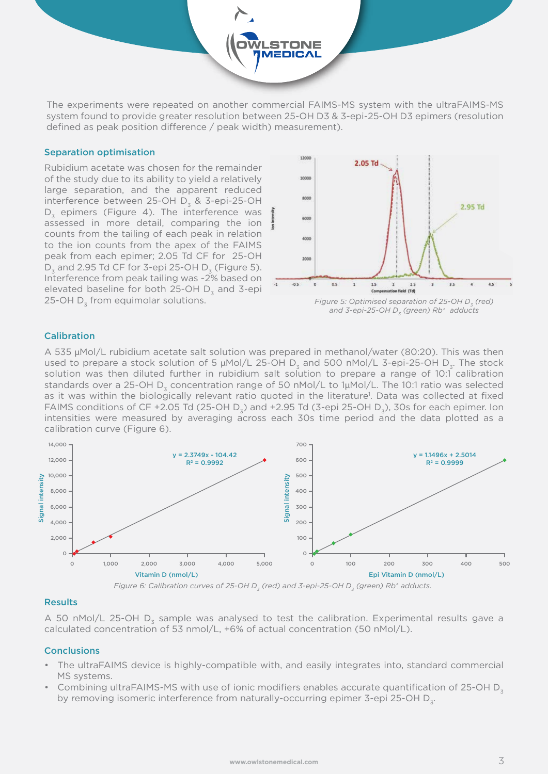The experiments were repeated on another commercial FAIMS-MS system with the ultraFAIMS-MS system found to provide greater resolution between 25-OH D3 & 3-epi-25-OH D3 epimers (resolution defined as peak position difference  $/$  peak width) measurement).

**STONE TEDICAL** 

#### Separation optimisation

Rubidium acetate was chosen for the remainder of the study due to its ability to yield a relatively large separation, and the apparent reduced interference between 25-OH  $D_2$  & 3-epi-25-OH  $D<sub>z</sub>$  epimers (Figure 4). The interference was assessed in more detail, comparing the ion counts from the tailing of each peak in relation to the ion counts from the apex of the FAIMS peak from each epimer; 2.05 Td CF for 25-OH  $D<sub>z</sub>$  and 2.95 Td CF for 3-epi 25-OH  $D<sub>z</sub>$  (Figure 5). Interference from peak tailing was ~2% based on elevated baseline for both 25-OH D<sub>z</sub> and 3-epi 25-OH  $D<sub>z</sub>$  from equimolar solutions.



*Figure 5: Optimised separation of 25-OH D<sub>2</sub> (red)* and 3-epi-25-OH D<sub>z</sub> (green) Rb<sup>+</sup> adducts

### Calibration

A 535 μMol/L rubidium acetate salt solution was prepared in methanol/water (80:20). This was then used to prepare a stock solution of 5  $\mu$ Mol/L 25-OH D<sub>z</sub> and 500 nMol/L 3-epi-25-OH D<sub>z</sub>. The stock solution was then diluted further in rubidium salt solution to prepare a range of 10:1 calibration standards over a 25-OH  $D<sub>z</sub>$  concentration range of 50 nMol/L to 1µMol/L. The 10:1 ratio was selected as it was within the biologically relevant ratio quoted in the literature<sup>1</sup>. Data was collected at fixed FAIMS conditions of CF +2.05 Td (25-OH D<sub>3</sub>) and +2.95 Td (3-epi 25-OH D<sub>3</sub>), 30s for each epimer. Ion intensities were measured by averaging across each 30s time period and the data plotted as a calibration curve (Figure 6).



*Figure 6: Calibration curves of 25-OH D<sub>3</sub> (red) and 3-epi-25-OH D<sub>3</sub> (green) Rb<sup>+</sup> adducts.* 

#### Results

A 50 nMol/L 25-OH  $D<sub>z</sub>$  sample was analysed to test the calibration. Experimental results gave a calculated concentration of 53 nmol/L, +6% of actual concentration (50 nMol/L).

#### **Conclusions**

- The ultraFAIMS device is highly-compatible with, and easily integrates into, standard commercial MS systems.
- Combining ultraFAIMS-MS with use of ionic modifiers enables accurate quantification of 25-OH D<sup>3</sup> by removing isomeric interference from naturally-occurring epimer 3-epi 25-OH D<sub>7</sub>.